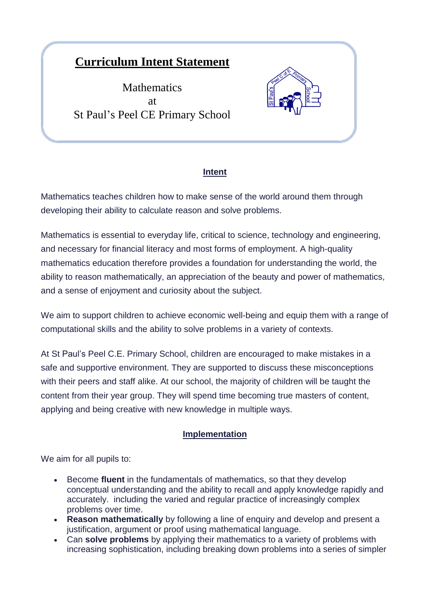# **Curriculum Intent Statement**

**Mathematics** at St Paul's Peel CE Primary School



## **Intent**

Mathematics teaches children how to make sense of the world around them through developing their ability to calculate reason and solve problems.

Mathematics is essential to everyday life, critical to science, technology and engineering, and necessary for financial literacy and most forms of employment. A high-quality mathematics education therefore provides a foundation for understanding the world, the ability to reason mathematically, an appreciation of the beauty and power of mathematics, and a sense of enjoyment and curiosity about the subject.

We aim to support children to achieve economic well-being and equip them with a range of computational skills and the ability to solve problems in a variety of contexts.

At St Paul's Peel C.E. Primary School, children are encouraged to make mistakes in a safe and supportive environment. They are supported to discuss these misconceptions with their peers and staff alike. At our school, the majority of children will be taught the content from their year group. They will spend time becoming true masters of content, applying and being creative with new knowledge in multiple ways.

## **Implementation**

We aim for all pupils to:

- Become **fluent** in the fundamentals of mathematics, so that they develop conceptual understanding and the ability to recall and apply knowledge rapidly and accurately. including the varied and regular practice of increasingly complex problems over time.
- **Reason mathematically** by following a line of enquiry and develop and present a justification, argument or proof using mathematical language.
- Can **solve problems** by applying their mathematics to a variety of problems with increasing sophistication, including breaking down problems into a series of simpler